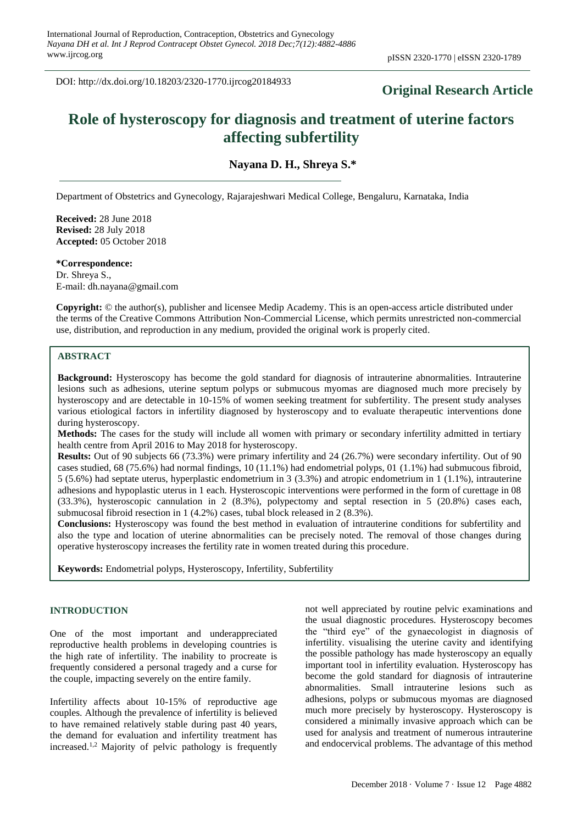DOI: http://dx.doi.org/10.18203/2320-1770.ijrcog20184933

# **Original Research Article**

# **Role of hysteroscopy for diagnosis and treatment of uterine factors affecting subfertility**

**Nayana D. H., Shreya S.\***

Department of Obstetrics and Gynecology, Rajarajeshwari Medical College, Bengaluru, Karnataka, India

**Received:** 28 June 2018 **Revised:** 28 July 2018 **Accepted:** 05 October 2018

**\*Correspondence:** Dr. Shreya S., E-mail: dh.nayana@gmail.com

**Copyright:** © the author(s), publisher and licensee Medip Academy. This is an open-access article distributed under the terms of the Creative Commons Attribution Non-Commercial License, which permits unrestricted non-commercial use, distribution, and reproduction in any medium, provided the original work is properly cited.

# **ABSTRACT**

**Background:** Hysteroscopy has become the gold standard for diagnosis of intrauterine abnormalities. Intrauterine lesions such as adhesions, uterine septum polyps or submucous myomas are diagnosed much more precisely by hysteroscopy and are detectable in 10-15% of women seeking treatment for subfertility. The present study analyses various etiological factors in infertility diagnosed by hysteroscopy and to evaluate therapeutic interventions done during hysteroscopy.

**Methods:** The cases for the study will include all women with primary or secondary infertility admitted in tertiary health centre from April 2016 to May 2018 for hysteroscopy.

**Results:** Out of 90 subjects 66 (73.3%) were primary infertility and 24 (26.7%) were secondary infertility. Out of 90 cases studied, 68 (75.6%) had normal findings, 10 (11.1%) had endometrial polyps, 01 (1.1%) had submucous fibroid, 5 (5.6%) had septate uterus, hyperplastic endometrium in 3 (3.3%) and atropic endometrium in 1 (1.1%), intrauterine adhesions and hypoplastic uterus in 1 each. Hysteroscopic interventions were performed in the form of curettage in 08 (33.3%), hysteroscopic cannulation in 2 (8.3%), polypectomy and septal resection in 5 (20.8%) cases each, submucosal fibroid resection in 1 (4.2%) cases, tubal block released in 2 (8.3%).

**Conclusions:** Hysteroscopy was found the best method in evaluation of intrauterine conditions for subfertility and also the type and location of uterine abnormalities can be precisely noted. The removal of those changes during operative hysteroscopy increases the fertility rate in women treated during this procedure.

**Keywords:** Endometrial polyps, Hysteroscopy, Infertility, Subfertility

# **INTRODUCTION**

One of the most important and underappreciated reproductive health problems in developing countries is the high rate of infertility. The inability to procreate is frequently considered a personal tragedy and a curse for the couple, impacting severely on the entire family.

Infertility affects about 10-15% of reproductive age couples. Although the prevalence of infertility is believed to have remained relatively stable during past 40 years, the demand for evaluation and infertility treatment has increased.1,2 Majority of pelvic pathology is frequently not well appreciated by routine pelvic examinations and the usual diagnostic procedures. Hysteroscopy becomes the "third eye" of the gynaecologist in diagnosis of infertility. visualising the uterine cavity and identifying the possible pathology has made hysteroscopy an equally important tool in infertility evaluation. Hysteroscopy has become the gold standard for diagnosis of intrauterine abnormalities. Small intrauterine lesions such as adhesions, polyps or submucous myomas are diagnosed much more precisely by hysteroscopy. Hysteroscopy is considered a minimally invasive approach which can be used for analysis and treatment of numerous intrauterine and endocervical problems. The advantage of this method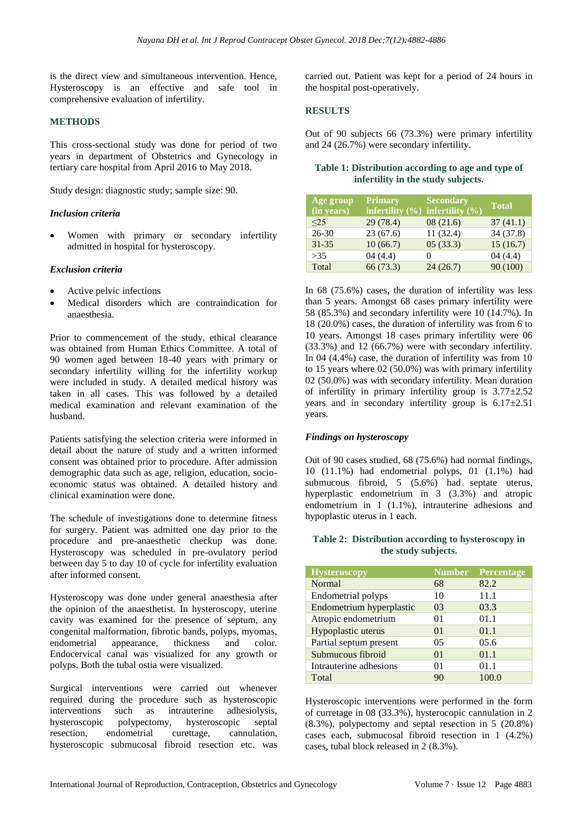is the direct view and simultaneous intervention. Hence, Hysteroscopy is an effective and safe tool in comprehensive evaluation of infertility.

# **METHODS**

This cross-sectional study was done for period of two years in department of Obstetrics and Gynecology in tertiary care hospital from April 2016 to May 2018.

Study design: diagnostic study; sample size: 90.

#### *Inclusion criteria*

• Women with primary or secondary infertility admitted in hospital for hysteroscopy.

#### *Exclusion criteria*

- Active pelvic infections
- Medical disorders which are contraindication for anaesthesia.

Prior to commencement of the study, ethical clearance was obtained from Human Ethics Committee. A total of 90 women aged between 18-40 years with primary or secondary infertility willing for the infertility workup were included in study. A detailed medical history was taken in all cases. This was followed by a detailed medical examination and relevant examination of the husband.

Patients satisfying the selection criteria were informed in detail about the nature of study and a written informed consent was obtained prior to procedure. After admission demographic data such as age, religion, education, socioeconomic status was obtained. A detailed history and clinical examination were done.

The schedule of investigations done to determine fitness for surgery. Patient was admitted one day prior to the procedure and pre-anaesthetic checkup was done. Hysteroscopy was scheduled in pre-ovulatory period between day 5 to day 10 of cycle for infertility evaluation after informed consent.

Hysteroscopy was done under general anaesthesia after the opinion of the anaesthetist. In hysteroscopy, uterine cavity was examined for the presence of septum, any congenital malformation, fibrotic bands, polyps, myomas, endometrial appearance, thickness and color. Endocervical canal was visualized for any growth or polyps. Both the tubal ostia were visualized.

Surgical interventions were carried out whenever required during the procedure such as hysteroscopic interventions such as intrauterine adhesiolysis, hysteroscopic polypectomy, hysteroscopic septal resection, endometrial curettage, cannulation, hysteroscopic submucosal fibroid resection etc. was carried out. Patient was kept for a period of 24 hours in the hospital post-operatively.

#### **RESULTS**

Out of 90 subjects 66 (73.3%) were primary infertility and 24 (26.7%) were secondary infertility.

#### **Table 1: Distribution according to age and type of infertility in the study subjects.**

| Age group<br>$\overline{\text{(in years)}}$ | <b>Primary</b><br>infertility $(\%)$ infertility $(\%)$ | <b>Secondary</b>  | <b>Total</b> |
|---------------------------------------------|---------------------------------------------------------|-------------------|--------------|
| $\leq$ 25                                   | 29 (78.4)                                               | 08(21.6)          | 37(41.1)     |
| 26-30                                       | 23(67.6)                                                | 11(32.4)          | 34 (37.8)    |
| $31 - 35$                                   | 10(66.7)                                                | 05(33.3)          | 15(16.7)     |
| >35                                         | 04(4.4)                                                 | $\mathbf{\Omega}$ | 04(4.4)      |
| Total                                       | 66 (73.3)                                               | 24(26.7)          | 90(100)      |

In 68 (75.6%) cases, the duration of infertility was less than 5 years. Amongst 68 cases primary infertility were 58 (85.3%) and secondary infertility were 10 (14.7%). In 18 (20.0%) cases, the duration of infertility was from 6 to 10 years. Amongst 18 cases primary infertility were 06 (33.3%) and 12 (66.7%) were with secondary infertility. In 04 (4.4%) case, the duration of infertility was from 10 to 15 years where 02 (50.0%) was with primary infertility 02 (50.0%) was with secondary infertility. Mean duration of infertility in primary infertility group is  $3.77 \pm 2.52$ years and in secondary infertility group is  $6.17 \pm 2.51$ years.

#### *Findings on hysteroscopy*

Out of 90 cases studied, 68 (75.6%) had normal findings, 10 (11.1%) had endometrial polyps, 01 (1.1%) had submucous fibroid, 5 (5.6%) had septate uterus, hyperplastic endometrium in 3 (3.3%) and atropic endometrium in 1 (1.1%), intrauterine adhesions and hypoplastic uterus in 1 each.

# **Table 2: Distribution according to hysteroscopy in the study subjects.**

| <b>Hysteroscopy</b>      | <b>Number</b>  | <b>Percentage</b> |
|--------------------------|----------------|-------------------|
| Normal                   | 68             | 82.2              |
| Endometrial polyps       | 10             | 11.1              |
| Endometrium hyperplastic | 03             | 03.3              |
| Atropic endometrium      | 01             | 01.1              |
| Hypoplastic uterus       | 0 <sub>1</sub> | 01.1              |
| Partial septum present   | 05             | 05.6              |
| Submucous fibroid        | 0 <sub>1</sub> | 01.1              |
| Intrauterine adhesions   | 01             | 01.1              |
| Total                    | 90             | 100.0             |

Hysteroscopic interventions were performed in the form of curretage in 08 (33.3%), hysterocopic cannulation in 2 (8.3%), polypectomy and septal resection in 5 (20.8%) cases each, submucosal fibroid resection in 1 (4.2%) cases, tubal block released in 2 (8.3%).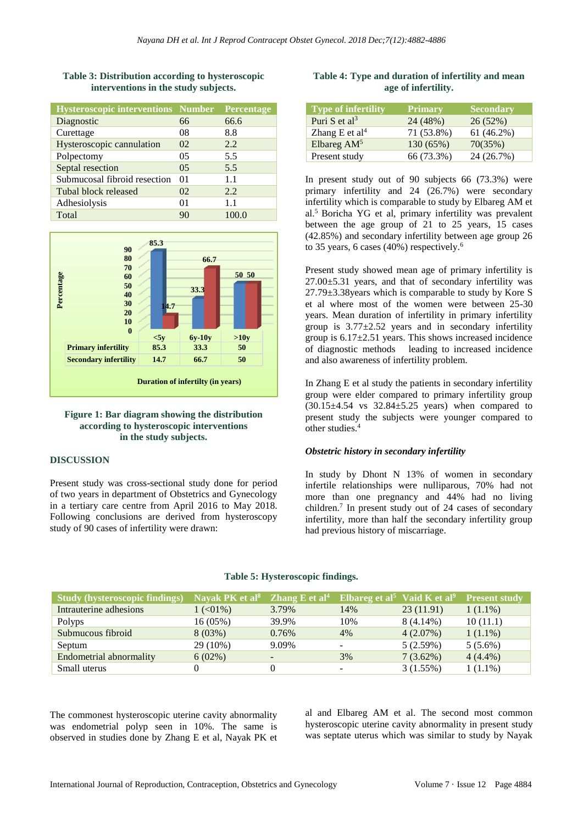| <b>Hysteroscopic interventions Number</b> | Percentage |
|-------------------------------------------|------------|
| 66                                        | 66.6       |
| 08                                        | 8.8        |
| 02                                        | 2.2        |
| 05                                        | 5.5        |
| 0 <sub>5</sub>                            | 5.5        |
| 01                                        | 1.1        |
| 02                                        | 2.2.       |
| $^{\Omega}$                               | 1.1        |
| 90                                        | 100.0      |
|                                           |            |

# **Table 3: Distribution according to hysteroscopic interventions in the study subjects.**



# **Figure 1: Bar diagram showing the distribution according to hysteroscopic interventions in the study subjects.**

#### **DISCUSSION**

Present study was cross-sectional study done for period of two years in department of Obstetrics and Gynecology in a tertiary care centre from April 2016 to May 2018. Following conclusions are derived from hysteroscopy study of 90 cases of infertility were drawn:

# **Table 4: Type and duration of infertility and mean age of infertility.**

| <b>Type of infertility</b> | <b>Primary</b> | <b>Secondary</b> |
|----------------------------|----------------|------------------|
| Puri S et al <sup>3</sup>  | 24 (48%)       | 26(52%)          |
| Zhang E et al <sup>4</sup> | 71 (53.8%)     | 61 (46.2%)       |
| Elbareg $AM5$              | 130 (65%)      | 70(35%)          |
| Present study              | 66 (73.3%)     | 24 (26.7%)       |

In present study out of 90 subjects 66 (73.3%) were primary infertility and 24 (26.7%) were secondary infertility which is comparable to study by Elbareg AM et al.<sup>5</sup> Boricha YG et al, primary infertility was prevalent between the age group of 21 to 25 years, 15 cases (42.85%) and secondary infertility between age group 26 to 35 years, 6 cases (40%) respectively.<sup>6</sup>

Present study showed mean age of primary infertility is 27.00±5.31 years, and that of secondary infertility was 27.79±3.38years which is comparable to study by Kore S et al where most of the women were between 25-30 years. Mean duration of infertility in primary infertility group is  $3.77 \pm 2.52$  years and in secondary infertility group is  $6.17\pm2.51$  years. This shows increased incidence of diagnostic methods leading to increased incidence and also awareness of infertility problem.

In Zhang E et al study the patients in secondary infertility group were elder compared to primary infertility group  $(30.15\pm4.54 \text{ vs } 32.84\pm5.25 \text{ years})$  when compared to present study the subjects were younger compared to other studies.<sup>4</sup>

# *Obstetric history in secondary infertility*

In study by Dhont N 13% of women in secondary infertile relationships were nulliparous, 70% had not more than one pregnancy and 44% had no living children.<sup>7</sup> In present study out of 24 cases of secondary infertility, more than half the secondary infertility group had previous history of miscarriage.

| <b>Study (hysteroscopic findings)</b> | Nayak PK et al <sup>8</sup> Zhang E et al <sup>4</sup> Elbareg et al <sup>5</sup> Vaid K et al <sup>9</sup> Present study |                          |     |             |            |
|---------------------------------------|---------------------------------------------------------------------------------------------------------------------------|--------------------------|-----|-------------|------------|
| Intrauterine adhesions                | $1 \left( 0.01\% \right)$                                                                                                 | 3.79%                    | 14% | 23(11.91)   | $1(1.1\%)$ |
| Polyps                                | $16(05\%)$                                                                                                                | 39.9%                    | 10% | $8(4.14\%)$ | 10(11.1)   |
| Submucous fibroid                     | $8(03\%)$                                                                                                                 | 0.76%                    | 4%  | $4(2.07\%)$ | $1(1.1\%)$ |
| Septum                                | 29 (10%)                                                                                                                  | 9.09%                    |     | 5(2.59%)    | $5(5.6\%)$ |
| Endometrial abnormality               | $6(02\%)$                                                                                                                 | $\overline{\phantom{a}}$ | 3%  | $7(3.62\%)$ | $4(4.4\%)$ |
| Small uterus                          |                                                                                                                           | $\theta$                 |     | 3(1.55%)    | $1(1.1\%)$ |

# **Table 5: Hysteroscopic findings.**

The commonest hysteroscopic uterine cavity abnormality was endometrial polyp seen in 10%. The same is observed in studies done by Zhang E et al, Nayak PK et

al and Elbareg AM et al. The second most common hysteroscopic uterine cavity abnormality in present study was septate uterus which was similar to study by Nayak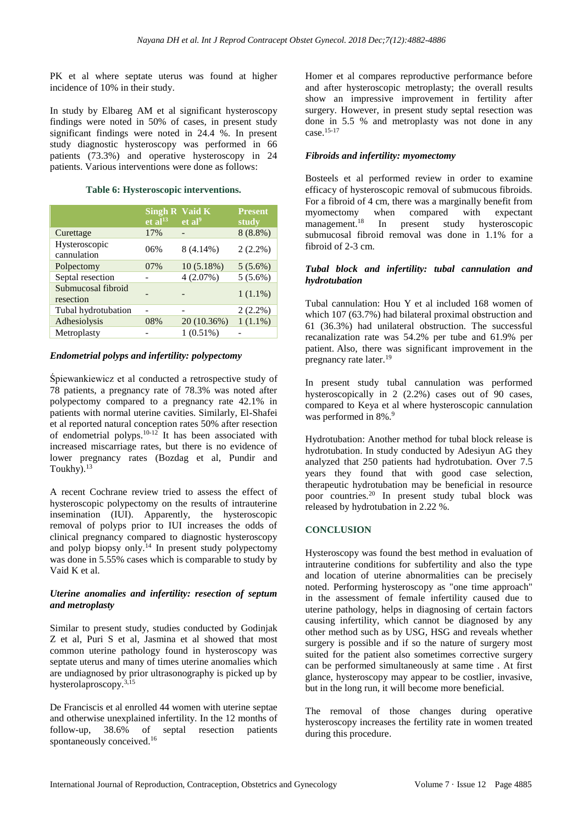PK et al where septate uterus was found at higher incidence of 10% in their study.

In study by Elbareg AM et al significant hysteroscopy findings were noted in 50% of cases, in present study significant findings were noted in 24.4 %. In present study diagnostic hysteroscopy was performed in 66 patients (73.3%) and operative hysteroscopy in 24 patients. Various interventions were done as follows:

# **Table 6: Hysteroscopic interventions.**

|                                 | Singh $\overline{R}$ Vaid $\overline{K}$<br>$et$ al <sup>13</sup> | et al <sup>9</sup> | <b>Present</b><br>study |
|---------------------------------|-------------------------------------------------------------------|--------------------|-------------------------|
| Curettage                       | 17%                                                               |                    | $8(8.8\%)$              |
| Hysteroscopic<br>cannulation    | 06%                                                               | $8(4.14\%)$        | $2(2.2\%)$              |
| Polpectomy                      | 07%                                                               | 10(5.18%)          | $5(5.6\%)$              |
| Septal resection                |                                                                   | 4(2.07%)           | $5(5.6\%)$              |
| Submucosal fibroid<br>resection |                                                                   |                    | $1(1.1\%)$              |
| Tubal hydrotubation             |                                                                   |                    | $2(2.2\%)$              |
| Adhesiolysis                    | 08%                                                               | 20 (10.36%)        | $1(1.1\%)$              |
| Metroplasty                     |                                                                   | $1(0.51\%)$        |                         |

#### *Endometrial polyps and infertility: polypectomy*

Śpiewankiewicz et al conducted a retrospective study of 78 patients, a pregnancy rate of 78.3% was noted after polypectomy compared to a pregnancy rate 42.1% in patients with normal uterine cavities. Similarly, El-Shafei et al reported natural conception rates 50% after resection of endometrial polyps.<sup>10-12</sup> It has been associated with increased miscarriage rates, but there is no evidence of lower pregnancy rates (Bozdag et al, Pundir and Toukhy $1^{13}$ 

A recent Cochrane review tried to assess the effect of hysteroscopic polypectomy on the results of intrauterine insemination (IUI). Apparently, the hysteroscopic removal of polyps prior to IUI increases the odds of clinical pregnancy compared to diagnostic hysteroscopy and polyp biopsy only.<sup>14</sup> In present study polypectomy was done in 5.55% cases which is comparable to study by Vaid K et al.

#### *Uterine anomalies and infertility: resection of septum and metroplasty*

Similar to present study, studies conducted by Godinjak Z et al, Puri S et al, Jasmina et al showed that most common uterine pathology found in hysteroscopy was septate uterus and many of times uterine anomalies which are undiagnosed by prior ultrasonography is picked up by hysterolaproscopy.3,15

De Franciscis et al enrolled 44 women with uterine septae and otherwise unexplained infertility. In the 12 months of follow-up, 38.6% of septal resection patients spontaneously conceived.<sup>16</sup>

Homer et al compares reproductive performance before and after hysteroscopic metroplasty; the overall results show an impressive improvement in fertility after surgery. However, in present study septal resection was done in 5.5 % and metroplasty was not done in any case.15-17

# *Fibroids and infertility: myomectomy*

Bosteels et al performed review in order to examine efficacy of hysteroscopic removal of submucous fibroids. For a fibroid of 4 cm, there was a marginally benefit from myomectomy when compared with expectant management. <sup>18</sup> In present study hysteroscopic submucosal fibroid removal was done in 1.1% for a fibroid of 2-3 cm.

# *Tubal block and infertility: tubal cannulation and hydrotubation*

Tubal cannulation: Hou Y et al included 168 women of which 107 (63.7%) had bilateral proximal obstruction and 61 (36.3%) had unilateral obstruction. The successful recanalization rate was 54.2% per tube and 61.9% per patient. Also, there was significant improvement in the pregnancy rate later.<sup>19</sup>

In present study tubal cannulation was performed hysteroscopically in 2 (2.2%) cases out of 90 cases, compared to Keya et al where hysteroscopic cannulation was performed in 8%.<sup>9</sup>

Hydrotubation: Another method for tubal block release is hydrotubation. In study conducted by Adesiyun AG they analyzed that 250 patients had hydrotubation. Over 7.5 years they found that with good case selection, therapeutic hydrotubation may be beneficial in resource poor countries.<sup>20</sup> In present study tubal block was released by hydrotubation in 2.22 %.

# **CONCLUSION**

Hysteroscopy was found the best method in evaluation of intrauterine conditions for subfertility and also the type and location of uterine abnormalities can be precisely noted. Performing hysteroscopy as "one time approach" in the assessment of female infertility caused due to uterine pathology, helps in diagnosing of certain factors causing infertility, which cannot be diagnosed by any other method such as by USG, HSG and reveals whether surgery is possible and if so the nature of surgery most suited for the patient also sometimes corrective surgery can be performed simultaneously at same time . At first glance, hysteroscopy may appear to be costlier, invasive, but in the long run, it will become more beneficial.

The removal of those changes during operative hysteroscopy increases the fertility rate in women treated during this procedure.